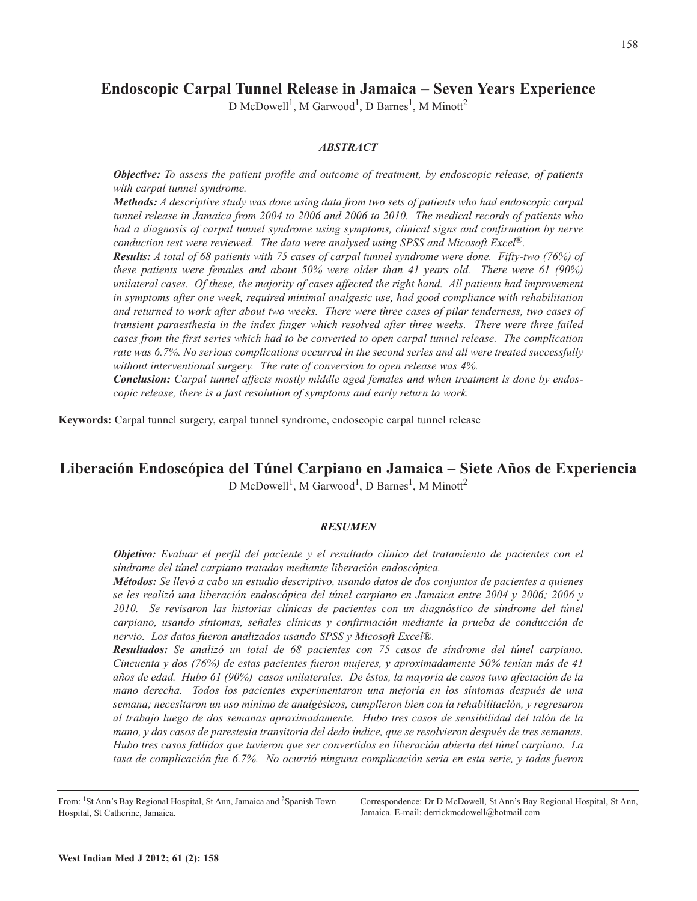# **Endoscopic Carpal Tunnel Release in Jamaica** – **Seven Years Experience**

D McDowell<sup>1</sup>, M Garwood<sup>1</sup>, D Barnes<sup>1</sup>, M Minott<sup>2</sup>

### *ABSTRACT*

*Objective: To assess the patient profile and outcome of treatment, by endoscopic release, of patients with carpal tunnel syndrome.*

*Methods: A descriptive study was done using data from two sets of patients who had endoscopic carpal tunnel release in Jamaica from 2004 to 2006 and 2006 to 2010. The medical records of patients who had a diagnosis of carpal tunnel syndrome using symptoms, clinical signs and confirmation by nerve conduction test were reviewed. The data were analysed using SPSS and Micosoft Excel ®.*

Results: A total of 68 patients with 75 cases of carpal tunnel syndrome were done. Fifty-two (76%) of *these patients were females and about 50% were older than 41 years old. There were 61 (90%) unilateral cases. Of these, the majority of cases affected the right hand. All patients had improvement in symptoms after one week, required minimal analgesic use, had good compliance with rehabilitation* and returned to work after about two weeks. There were three cases of pilar tenderness, two cases of *transient paraesthesia in the index finger which resolved after three weeks. There were three failed cases from the first series which had to be converted to open carpal tunnel release. The complication rate was 6.7%. No serious complications occurred in the second series and all were treated successfully without interventional surgery. The rate of conversion to open release was 4%.*

*Conclusion: Carpal tunnel affects mostly middle aged females and when treatment is done by endoscopic release, there is a fast resolution of symptoms and early return to work.*

**Keywords:** Carpal tunnel surgery, carpal tunnel syndrome, endoscopic carpal tunnel release

## **Liberación Endoscópica del Túnel Carpiano en Jamaica – Siete Años de Experiencia**

D McDowell<sup>1</sup>, M Garwood<sup>1</sup>, D Barnes<sup>1</sup>, M Minott<sup>2</sup>

## *RESUMEN*

*Objetivo: Evaluar el perfil del paciente y el resultado clínico del tratamiento de pacientes con el síndrome del túnel carpiano tratados mediante liberación endoscópica.*

*Métodos: Se llevó a cabo un estudio descriptivo, usando datos de dos conjuntos de pacientes a quienes se les realizó una liberación endoscópica del túnel carpiano en Jamaica entre 2004 y 2006; 2006 y 2010. Se revisaron las historias clínicas de pacientes con un diagnóstico de síndrome del túnel carpiano, usando síntomas, señales clínicas y confirmación mediante la prueba de conducción de nervio. Los datos fueron analizados usando SPSS y Micosoft Excel®.*

*Resultados: Se analizó un total de 68 pacientes con 75 casos de síndrome del túnel carpiano. Cincuenta y dos (76%) de estas pacientes fueron mujeres, y aproximadamente 50% tenían más de 41* años de edad. Hubo 61 (90%) casos unilaterales. De éstos, la mayoría de casos tuvo afectación de la *mano derecha. Todos los pacientes experimentaron una mejoría en los síntomas después de una semana; necesitaron un uso mínimo de analgésicos, cumplieron bien con la rehabilitación, y regresaron al trabajo luego de dos semanas aproximadamente. Hubo tres casos de sensibilidad del talón de la mano, y dos casos de parestesia transitoria del dedo índice, que se resolvieron después de tres semanas. Hubo tres casos fallidos que tuvieron que ser convertidos en liberación abierta del túnel carpiano. La tasa de complicación fue 6.7%. No ocurrió ninguna complicación seria en esta serie, y todas fueron*

Correspondence: Dr D McDowell, St Ann's Bay Regional Hospital, St Ann, Jamaica. E-mail: derrickmcdowell@hotmail.com

From: 1St Ann's Bay Regional Hospital, St Ann, Jamaica and 2Spanish Town Hospital, St Catherine, Jamaica.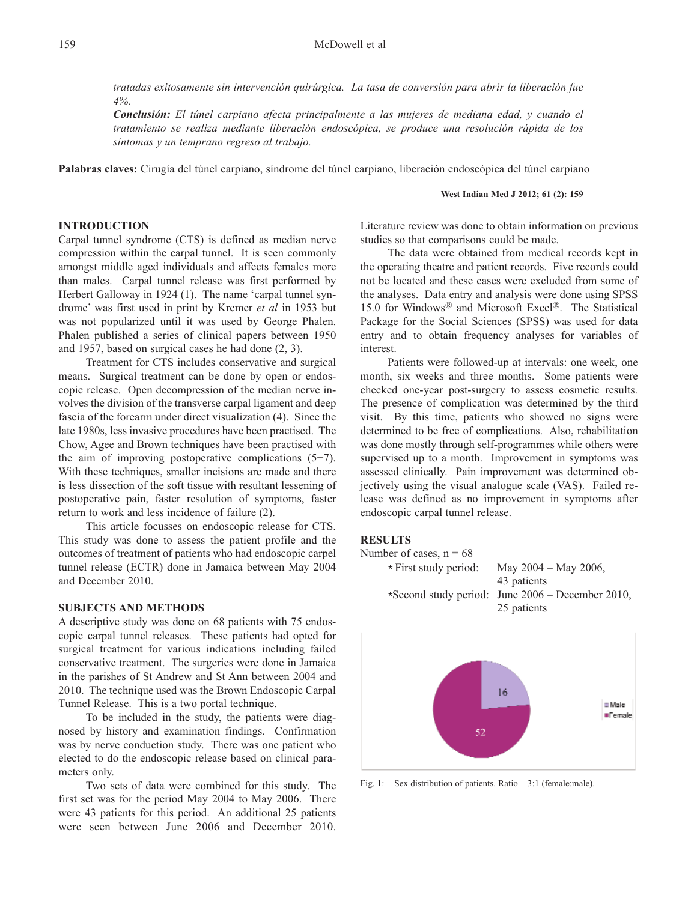*tratadas exitosamente sin intervención quirúrgica. La tasa de conversión para abrir la liberación fue 4%.*

*Conclusión: El túnel carpiano afecta principalmente a las mujeres de mediana edad, y cuando el tratamiento se realiza mediante liberación endoscópica, se produce una resolución rápida de los síntomas y un temprano regreso al trabajo.*

**Palabras claves:** Cirugía del túnel carpiano, síndrome del túnel carpiano, liberación endoscópica del túnel carpiano

#### **West Indian Med J 2012; 61 (2): 159**

## **INTRODUCTION**

Carpal tunnel syndrome (CTS) is defined as median nerve compression within the carpal tunnel. It is seen commonly amongst middle aged individuals and affects females more than males. Carpal tunnel release was first performed by Herbert Galloway in 1924 (1). The name 'carpal tunnel syndrome' was first used in print by Kremer *et al* in 1953 but was not popularized until it was used by George Phalen. Phalen published a series of clinical papers between 1950 and 1957, based on surgical cases he had done (2, 3).

Treatment for CTS includes conservative and surgical means. Surgical treatment can be done by open or endoscopic release. Open decompression of the median nerve involves the division of the transverse carpal ligament and deep fascia of the forearm under direct visualization (4). Since the late 1980s, less invasive procedures have been practised. The Chow, Agee and Brown techniques have been practised with the aim of improving postoperative complications (5−7). With these techniques, smaller incisions are made and there is less dissection of the soft tissue with resultant lessening of postoperative pain, faster resolution of symptoms, faster return to work and less incidence of failure (2).

This article focusses on endoscopic release for CTS. This study was done to assess the patient profile and the outcomes of treatment of patients who had endoscopic carpel tunnel release (ECTR) done in Jamaica between May 2004 and December 2010.

### **SUBJECTS AND METHODS**

A descriptive study was done on 68 patients with 75 endoscopic carpal tunnel releases. These patients had opted for surgical treatment for various indications including failed conservative treatment. The surgeries were done in Jamaica in the parishes of St Andrew and St Ann between 2004 and 2010. The technique used was the Brown Endoscopic Carpal Tunnel Release. This is a two portal technique.

To be included in the study, the patients were diagnosed by history and examination findings. Confirmation was by nerve conduction study. There was one patient who elected to do the endoscopic release based on clinical parameters only.

Two sets of data were combined for this study. The first set was for the period May 2004 to May 2006. There were 43 patients for this period. An additional 25 patients were seen between June 2006 and December 2010. Literature review was done to obtain information on previous studies so that comparisons could be made.

The data were obtained from medical records kept in the operating theatre and patient records. Five records could not be located and these cases were excluded from some of the analyses. Data entry and analysis were done using SPSS 15.0 for Windows® and Microsoft Excel ®. The Statistical Package for the Social Sciences (SPSS) was used for data entry and to obtain frequency analyses for variables of interest.

Patients were followed-up at intervals: one week, one month, six weeks and three months. Some patients were checked one-year post-surgery to assess cosmetic results. The presence of complication was determined by the third visit. By this time, patients who showed no signs were determined to be free of complications. Also, rehabilitation was done mostly through self-programmes while others were supervised up to a month. Improvement in symptoms was assessed clinically. Pain improvement was determined objectively using the visual analogue scale (VAS). Failed release was defined as no improvement in symptoms after endoscopic carpal tunnel release.

#### **RESULTS**





Fig. 1: Sex distribution of patients. Ratio – 3:1 (female:male).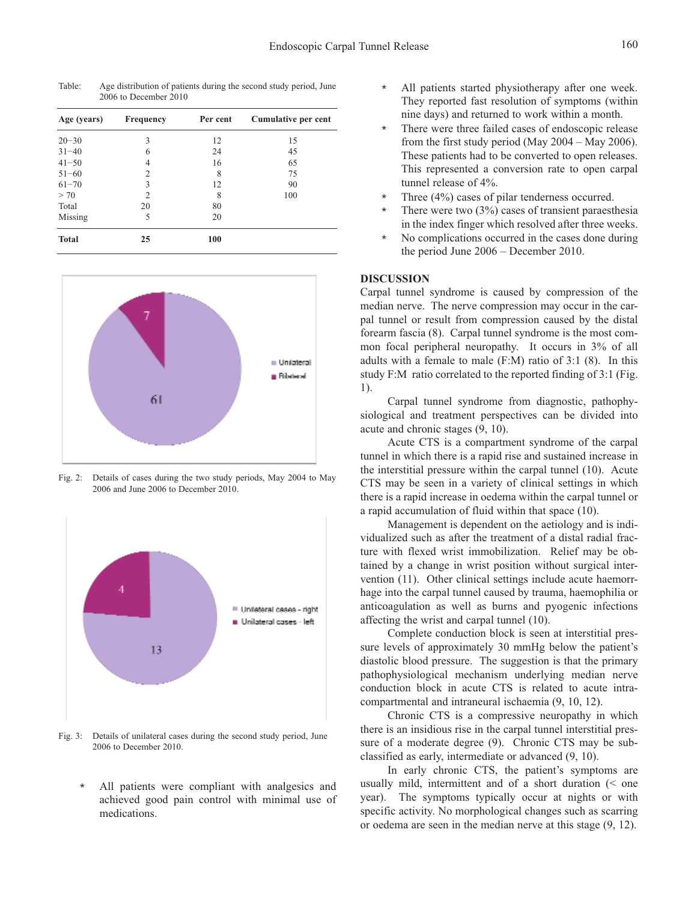| Age (years)  | Frequency      | Per cent | Cumulative per cent |
|--------------|----------------|----------|---------------------|
| $20 - 30$    | 3              | 12       | 15                  |
| $31 - 40$    | 6              | 24       | 45                  |
| $41 - 50$    | 4              | 16       | 65                  |
| $51 - 60$    | $\overline{c}$ | 8        | 75                  |
| $61 - 70$    | 3              | 12       | 90                  |
| > 70         | $\overline{2}$ | 8        | 100                 |
| Total        | 20             | 80       |                     |
| Missing      | 5              | 20       |                     |
| <b>Total</b> | 25             | 100      |                     |

Table: Age distribution of patients during the second study period, June 2006 to December 2010



Fig. 2: Details of cases during the two study periods, May 2004 to May 2006 and June 2006 to December 2010.



Fig. 3: Details of unilateral cases during the second study period, June 2006 to December 2010.

\* All patients were compliant with analgesics and achieved good pain control with minimal use of medications.

- All patients started physiotherapy after one week. They reported fast resolution of symptoms (within nine days) and returned to work within a month.
- There were three failed cases of endoscopic release from the first study period (May 2004 – May 2006). These patients had to be converted to open releases. This represented a conversion rate to open carpal tunnel release of 4%.
- Three  $(4\%)$  cases of pilar tenderness occurred.
- There were two  $(3%)$  cases of transient paraesthesia in the index finger which resolved after three weeks.
- No complications occurred in the cases done during the period June 2006 – December 2010.

#### **DISCUSSION**

Carpal tunnel syndrome is caused by compression of the median nerve. The nerve compression may occur in the carpal tunnel or result from compression caused by the distal forearm fascia (8). Carpal tunnel syndrome is the most common focal peripheral neuropathy. It occurs in 3% of all adults with a female to male (F:M) ratio of 3:1 (8). In this study F:M ratio correlated to the reported finding of 3:1 (Fig. 1).

Carpal tunnel syndrome from diagnostic, pathophysiological and treatment perspectives can be divided into acute and chronic stages (9, 10).

Acute CTS is a compartment syndrome of the carpal tunnel in which there is a rapid rise and sustained increase in the interstitial pressure within the carpal tunnel (10). Acute CTS may be seen in a variety of clinical settings in which there is a rapid increase in oedema within the carpal tunnel or a rapid accumulation of fluid within that space (10).

Management is dependent on the aetiology and is individualized such as after the treatment of a distal radial fracture with flexed wrist immobilization. Relief may be obtained by a change in wrist position without surgical intervention (11). Other clinical settings include acute haemorrhage into the carpal tunnel caused by trauma, haemophilia or anticoagulation as well as burns and pyogenic infections affecting the wrist and carpal tunnel (10).

Complete conduction block is seen at interstitial pressure levels of approximately 30 mmHg below the patient's diastolic blood pressure. The suggestion is that the primary pathophysiological mechanism underlying median nerve conduction block in acute CTS is related to acute intracompartmental and intraneural ischaemia (9, 10, 12).

Chronic CTS is a compressive neuropathy in which there is an insidious rise in the carpal tunnel interstitial pressure of a moderate degree (9). Chronic CTS may be subclassified as early, intermediate or advanced (9, 10).

In early chronic CTS, the patient's symptoms are usually mild, intermittent and of a short duration (< one year). The symptoms typically occur at nights or with specific activity. No morphological changes such as scarring or oedema are seen in the median nerve at this stage (9, 12).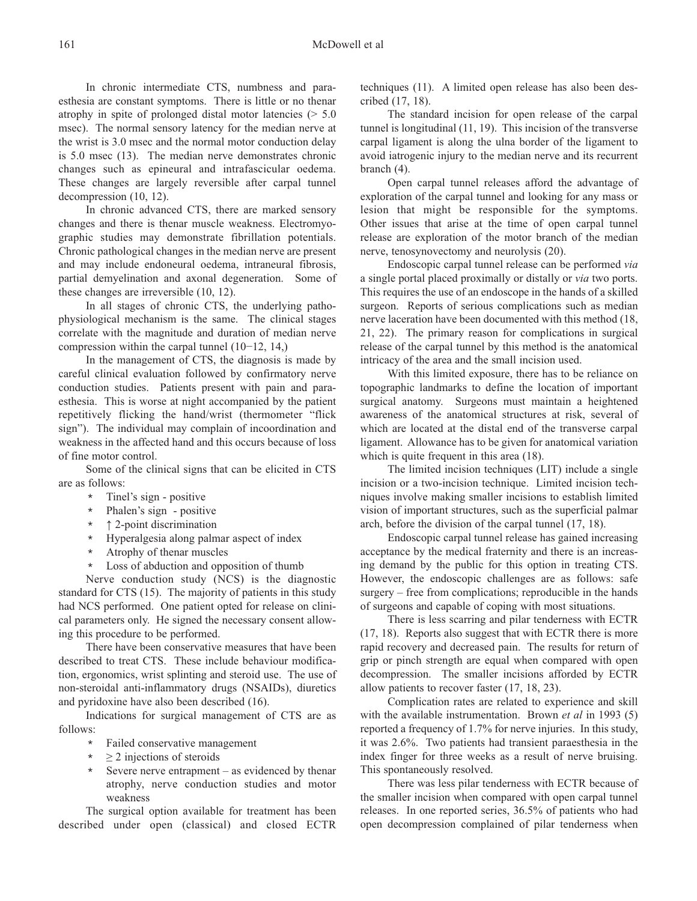In chronic intermediate CTS, numbness and paraesthesia are constant symptoms. There is little or no thenar atrophy in spite of prolonged distal motor latencies  $($  > 5.0 msec). The normal sensory latency for the median nerve at the wrist is 3.0 msec and the normal motor conduction delay is 5.0 msec (13). The median nerve demonstrates chronic changes such as epineural and intrafascicular oedema. These changes are largely reversible after carpal tunnel decompression (10, 12).

In chronic advanced CTS, there are marked sensory changes and there is thenar muscle weakness. Electromyographic studies may demonstrate fibrillation potentials. Chronic pathological changes in the median nerve are present and may include endoneural oedema, intraneural fibrosis, partial demyelination and axonal degeneration. Some of these changes are irreversible (10, 12).

In all stages of chronic CTS, the underlying pathophysiological mechanism is the same. The clinical stages correlate with the magnitude and duration of median nerve compression within the carpal tunnel (10−12, 14,)

In the management of CTS, the diagnosis is made by careful clinical evaluation followed by confirmatory nerve conduction studies. Patients present with pain and paraesthesia. This is worse at night accompanied by the patient repetitively flicking the hand/wrist (thermometer "flick sign"). The individual may complain of incoordination and weakness in the affected hand and this occurs because of loss of fine motor control.

Some of the clinical signs that can be elicited in CTS are as follows:

- \* Tinel's sign positive
- Phalen's sign positive
- \* ↑ 2-point discrimination
- \* Hyperalgesia along palmar aspect of index
- \* Atrophy of thenar muscles
- \* Loss of abduction and opposition of thumb

Nerve conduction study (NCS) is the diagnostic standard for CTS (15). The majority of patients in this study had NCS performed. One patient opted for release on clinical parameters only. He signed the necessary consent allowing this procedure to be performed.

There have been conservative measures that have been described to treat CTS. These include behaviour modification, ergonomics, wrist splinting and steroid use. The use of non-steroidal anti-inflammatory drugs (NSAIDs), diuretics and pyridoxine have also been described (16).

Indications for surgical management of CTS are as follows:

- Failed conservative management
- $\geq$  2 injections of steroids
- \* Severe nerve entrapment as evidenced by thenar atrophy, nerve conduction studies and motor weakness

The surgical option available for treatment has been described under open (classical) and closed ECTR techniques (11). A limited open release has also been described (17, 18).

The standard incision for open release of the carpal tunnel is longitudinal (11, 19). This incision of the transverse carpal ligament is along the ulna border of the ligament to avoid iatrogenic injury to the median nerve and its recurrent branch (4).

Open carpal tunnel releases afford the advantage of exploration of the carpal tunnel and looking for any mass or lesion that might be responsible for the symptoms. Other issues that arise at the time of open carpal tunnel release are exploration of the motor branch of the median nerve, tenosynovectomy and neurolysis (20).

Endoscopic carpal tunnel release can be performed *via* a single portal placed proximally or distally or *via* two ports. This requires the use of an endoscope in the hands of a skilled surgeon. Reports of serious complications such as median nerve laceration have been documented with this method (18, 21, 22). The primary reason for complications in surgical release of the carpal tunnel by this method is the anatomical intricacy of the area and the small incision used.

With this limited exposure, there has to be reliance on topographic landmarks to define the location of important surgical anatomy. Surgeons must maintain a heightened awareness of the anatomical structures at risk, several of which are located at the distal end of the transverse carpal ligament. Allowance has to be given for anatomical variation which is quite frequent in this area (18).

The limited incision techniques (LIT) include a single incision or a two-incision technique. Limited incision techniques involve making smaller incisions to establish limited vision of important structures, such as the superficial palmar arch, before the division of the carpal tunnel (17, 18).

Endoscopic carpal tunnel release has gained increasing acceptance by the medical fraternity and there is an increasing demand by the public for this option in treating CTS. However, the endoscopic challenges are as follows: safe surgery – free from complications; reproducible in the hands of surgeons and capable of coping with most situations.

There is less scarring and pilar tenderness with ECTR (17, 18). Reports also suggest that with ECTR there is more rapid recovery and decreased pain. The results for return of grip or pinch strength are equal when compared with open decompression. The smaller incisions afforded by ECTR allow patients to recover faster (17, 18, 23).

Complication rates are related to experience and skill with the available instrumentation. Brown *et al* in 1993 (5) reported a frequency of 1.7% for nerve injuries. In this study, it was 2.6%. Two patients had transient paraesthesia in the index finger for three weeks as a result of nerve bruising. This spontaneously resolved.

There was less pilar tenderness with ECTR because of the smaller incision when compared with open carpal tunnel releases. In one reported series, 36.5% of patients who had open decompression complained of pilar tenderness when